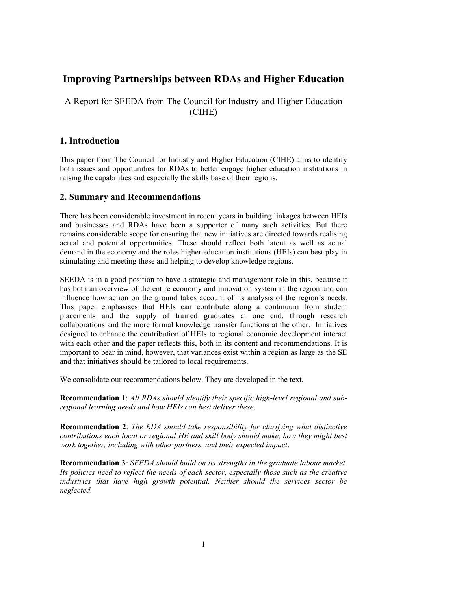# **Improving Partnerships between RDAs and Higher Education**

A Report for SEEDA from The Council for Industry and Higher Education (CIHE)

## **1. Introduction**

This paper from The Council for Industry and Higher Education (CIHE) aims to identify both issues and opportunities for RDAs to better engage higher education institutions in raising the capabilities and especially the skills base of their regions.

## **2. Summary and Recommendations**

There has been considerable investment in recent years in building linkages between HEIs and businesses and RDAs have been a supporter of many such activities. But there remains considerable scope for ensuring that new initiatives are directed towards realising actual and potential opportunities. These should reflect both latent as well as actual demand in the economy and the roles higher education institutions (HEIs) can best play in stimulating and meeting these and helping to develop knowledge regions.

SEEDA is in a good position to have a strategic and management role in this, because it has both an overview of the entire economy and innovation system in the region and can influence how action on the ground takes account of its analysis of the region's needs. This paper emphasises that HEIs can contribute along a continuum from student placements and the supply of trained graduates at one end, through research collaborations and the more formal knowledge transfer functions at the other. Initiatives designed to enhance the contribution of HEIs to regional economic development interact with each other and the paper reflects this, both in its content and recommendations. It is important to bear in mind, however, that variances exist within a region as large as the SE and that initiatives should be tailored to local requirements.

We consolidate our recommendations below. They are developed in the text.

**Recommendation 1**: *All RDAs should identify their specific high-level regional and subregional learning needs and how HEIs can best deliver these*.

**Recommendation 2**: *The RDA should take responsibility for clarifying what distinctive contributions each local or regional HE and skill body should make, how they might best work together, including with other partners, and their expected impact*.

**Recommendation 3***: SEEDA should build on its strengths in the graduate labour market. Its policies need to reflect the needs of each sector, especially those such as the creative industries that have high growth potential. Neither should the services sector be neglected.*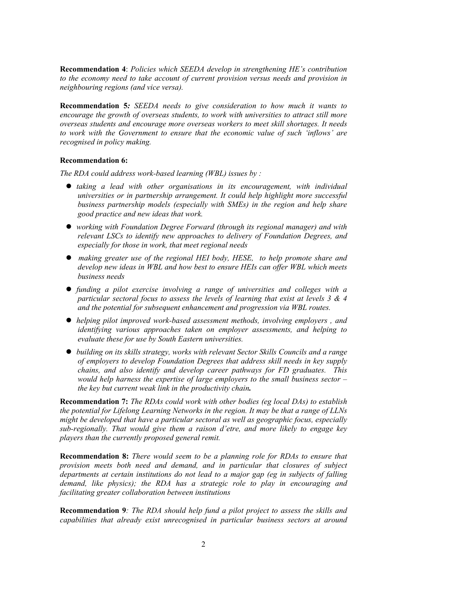**Recommendation 4**: *Policies which SEEDA develop in strengthening HE's contribution to the economy need to take account of current provision versus needs and provision in neighbouring regions (and vice versa).* 

**Recommendation 5***: SEEDA needs to give consideration to how much it wants to encourage the growth of overseas students, to work with universities to attract still more overseas students and encourage more overseas workers to meet skill shortages. It needs to work with the Government to ensure that the economic value of such 'inflows' are recognised in policy making.* 

#### **Recommendation 6:**

*The RDA could address work-based learning (WBL) issues by :* 

- z *taking a lead with other organisations in its encouragement, with individual universities or in partnership arrangement. It could help highlight more successful business partnership models (especially with SMEs) in the region and help share good practice and new ideas that work.*
- **•** working with Foundation Degree Forward (through its regional manager) and with *relevant LSCs to identify new approaches to delivery of Foundation Degrees, and especially for those in work, that meet regional needs*
- z *making greater use of the regional HEI body, HESE, to help promote share and develop new ideas in WBL and how best to ensure HEIs can offer WBL which meets business needs*
- z *funding a pilot exercise involving a range of universities and colleges with a particular sectoral focus to assess the levels of learning that exist at levels 3 & 4 and the potential for subsequent enhancement and progression via WBL routes.*
- z *helping pilot improved work-based assessment methods, involving employers , and identifying various approaches taken on employer assessments, and helping to evaluate these for use by South Eastern universities.*
- z *building on its skills strategy, works with relevant Sector Skills Councils and a range of employers to develop Foundation Degrees that address skill needs in key supply chains, and also identify and develop career pathways for FD graduates. This would help harness the expertise of large employers to the small business sector – the key but current weak link in the productivity chain.*

**Recommendation 7:** *The RDAs could work with other bodies (eg local DAs) to establish the potential for Lifelong Learning Networks in the region. It may be that a range of LLNs might be developed that have a particular sectoral as well as geographic focus, especially sub-regionally. That would give them a raison d'etre, and more likely to engage key players than the currently proposed general remit.* 

**Recommendation 8:** *There would seem to be a planning role for RDAs to ensure that provision meets both need and demand, and in particular that closures of subject departments at certain institutions do not lead to a major gap (eg in subjects of falling demand, like physics); the RDA has a strategic role to play in encouraging and facilitating greater collaboration between institutions* 

**Recommendation 9***: The RDA should help fund a pilot project to assess the skills and capabilities that already exist unrecognised in particular business sectors at around*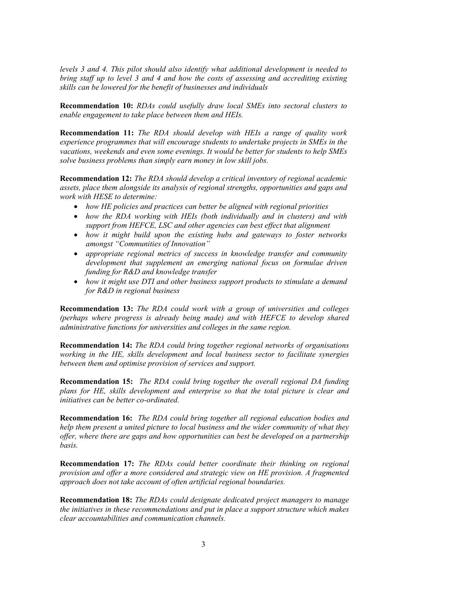*levels 3 and 4. This pilot should also identify what additional development is needed to bring staff up to level 3 and 4 and how the costs of assessing and accrediting existing skills can be lowered for the benefit of businesses and individuals* 

**Recommendation 10:** *RDAs could usefully draw local SMEs into sectoral clusters to enable engagement to take place between them and HEIs.* 

**Recommendation 11:** *The RDA should develop with HEIs a range of quality work experience programmes that will encourage students to undertake projects in SMEs in the vacations, weekends and even some evenings. It would be better for students to help SMEs solve business problems than simply earn money in low skill jobs.* 

**Recommendation 12:** *The RDA should develop a critical inventory of regional academic assets, place them alongside its analysis of regional strengths, opportunities and gaps and work with HESE to determine:* 

- *how HE policies and practices can better be aligned with regional priorities*
- *how the RDA working with HEIs (both individually and in clusters) and with support from HEFCE, LSC and other agencies can best effect that alignment*
- *how it might build upon the existing hubs and gateways to foster networks amongst "Communities of Innovation"*
- *appropriate regional metrics of success in knowledge transfer and community development that supplement an emerging national focus on formulae driven funding for R&D and knowledge transfer*
- *how it might use DTI and other business support products to stimulate a demand for R&D in regional business*

**Recommendation 13:** *The RDA could work with a group of universities and colleges (perhaps where progress is already being made) and with HEFCE to develop shared administrative functions for universities and colleges in the same region.* 

**Recommendation 14:** *The RDA could bring together regional networks of organisations working in the HE, skills development and local business sector to facilitate synergies between them and optimise provision of services and support.* 

**Recommendation 15:** *The RDA could bring together the overall regional DA funding plans for HE, skills development and enterprise so that the total picture is clear and initiatives can be better co-ordinated.* 

**Recommendation 16:** *The RDA could bring together all regional education bodies and help them present a united picture to local business and the wider community of what they offer, where there are gaps and how opportunities can best be developed on a partnership basis.* 

**Recommendation 17:** *The RDAs could better coordinate their thinking on regional provision and offer a more considered and strategic view on HE provision. A fragmented approach does not take account of often artificial regional boundaries.* 

**Recommendation 18:** *The RDAs could designate dedicated project managers to manage the initiatives in these recommendations and put in place a support structure which makes clear accountabilities and communication channels.*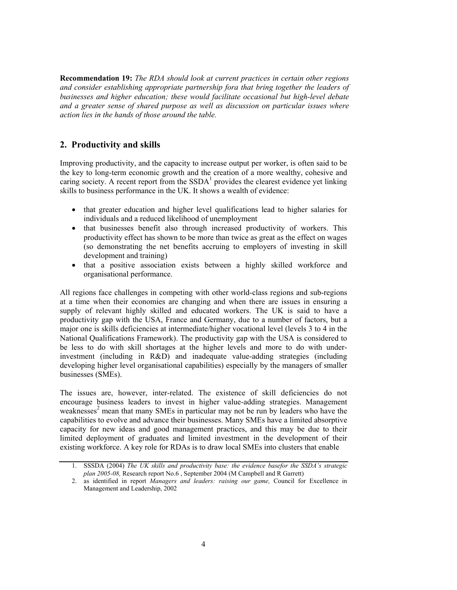**Recommendation 19:** *The RDA should look at current practices in certain other regions and consider establishing appropriate partnership fora that bring together the leaders of businesses and higher education; these would facilitate occasional but high-level debate and a greater sense of shared purpose as well as discussion on particular issues where action lies in the hands of those around the table.* 

## **2. Productivity and skills**

Improving productivity, and the capacity to increase output per worker, is often said to be the key to long-term economic growth and the creation of a more wealthy, cohesive and caring society. A recent report from the  $SSDA<sup>1</sup>$  provides the clearest evidence yet linking skills to business performance in the UK. It shows a wealth of evidence:

- that greater education and higher level qualifications lead to higher salaries for individuals and a reduced likelihood of unemployment
- that businesses benefit also through increased productivity of workers. This productivity effect has shown to be more than twice as great as the effect on wages (so demonstrating the net benefits accruing to employers of investing in skill development and training)
- that a positive association exists between a highly skilled workforce and organisational performance.

All regions face challenges in competing with other world-class regions and sub-regions at a time when their economies are changing and when there are issues in ensuring a supply of relevant highly skilled and educated workers. The UK is said to have a productivity gap with the USA, France and Germany, due to a number of factors, but a major one is skills deficiencies at intermediate/higher vocational level (levels 3 to 4 in the National Qualifications Framework). The productivity gap with the USA is considered to be less to do with skill shortages at the higher levels and more to do with underinvestment (including in R&D) and inadequate value-adding strategies (including developing higher level organisational capabilities) especially by the managers of smaller businesses (SMEs).

The issues are, however, inter-related. The existence of skill deficiencies do not encourage business leaders to invest in higher value-adding strategies. Management weaknesses<sup>2</sup> mean that many SMEs in particular may not be run by leaders who have the capabilities to evolve and advance their businesses. Many SMEs have a limited absorptive capacity for new ideas and good management practices, and this may be due to their limited deployment of graduates and limited investment in the development of their existing workforce. A key role for RDAs is to draw local SMEs into clusters that enable

<sup>1.</sup> SSSDA (2004) *The UK skills and productivity base: the evidence basefor the SSDA's strategic plan 2005-08,* Research report No.6 , September 2004 (M Campbell and R Garrett)

<sup>2.</sup> as identified in report *Managers and leaders: raising our game,* Council for Excellence in Management and Leadership, 2002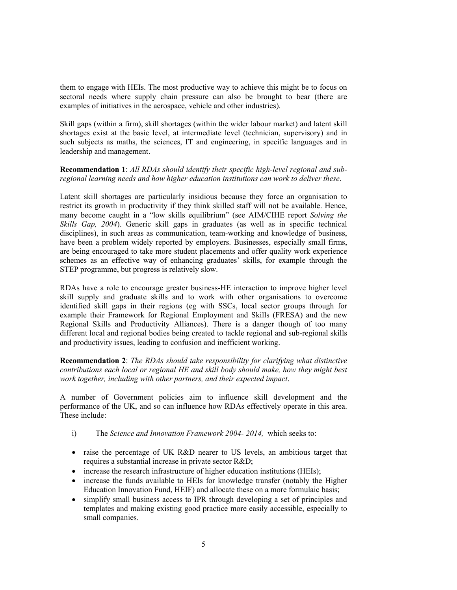them to engage with HEIs. The most productive way to achieve this might be to focus on sectoral needs where supply chain pressure can also be brought to bear (there are examples of initiatives in the aerospace, vehicle and other industries).

Skill gaps (within a firm), skill shortages (within the wider labour market) and latent skill shortages exist at the basic level, at intermediate level (technician, supervisory) and in such subjects as maths, the sciences, IT and engineering, in specific languages and in leadership and management.

**Recommendation 1**: *All RDAs should identify their specific high-level regional and subregional learning needs and how higher education institutions can work to deliver these*.

Latent skill shortages are particularly insidious because they force an organisation to restrict its growth in productivity if they think skilled staff will not be available. Hence, many become caught in a "low skills equilibrium" (see AIM/CIHE report *Solving the Skills Gap, 2004*). Generic skill gaps in graduates (as well as in specific technical disciplines), in such areas as communication, team-working and knowledge of business, have been a problem widely reported by employers. Businesses, especially small firms, are being encouraged to take more student placements and offer quality work experience schemes as an effective way of enhancing graduates' skills, for example through the STEP programme, but progress is relatively slow.

RDAs have a role to encourage greater business-HE interaction to improve higher level skill supply and graduate skills and to work with other organisations to overcome identified skill gaps in their regions (eg with SSCs, local sector groups through for example their Framework for Regional Employment and Skills (FRESA) and the new Regional Skills and Productivity Alliances). There is a danger though of too many different local and regional bodies being created to tackle regional and sub-regional skills and productivity issues, leading to confusion and inefficient working.

**Recommendation 2**: *The RDAs should take responsibility for clarifying what distinctive contributions each local or regional HE and skill body should make, how they might best work together, including with other partners, and their expected impact*.

A number of Government policies aim to influence skill development and the performance of the UK, and so can influence how RDAs effectively operate in this area. These include:

- i) The *Science and Innovation Framework 2004- 2014,* which seeks to:
- raise the percentage of UK R&D nearer to US levels, an ambitious target that requires a substantial increase in private sector R&D;
- increase the research infrastructure of higher education institutions (HEIs);
- increase the funds available to HEIs for knowledge transfer (notably the Higher Education Innovation Fund, HEIF) and allocate these on a more formulaic basis;
- simplify small business access to IPR through developing a set of principles and templates and making existing good practice more easily accessible, especially to small companies.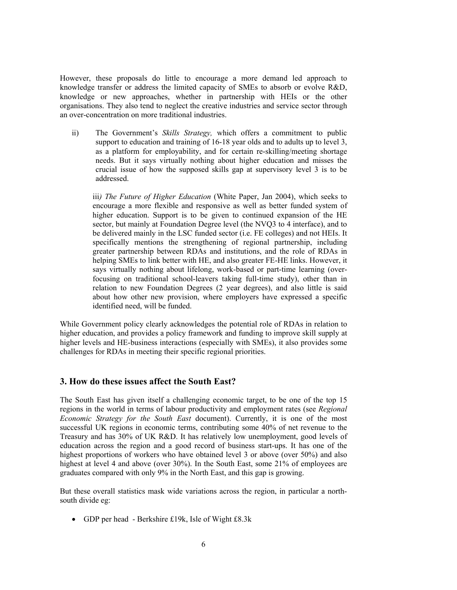However, these proposals do little to encourage a more demand led approach to knowledge transfer or address the limited capacity of SMEs to absorb or evolve R&D, knowledge or new approaches, whether in partnership with HEIs or the other organisations. They also tend to neglect the creative industries and service sector through an over-concentration on more traditional industries.

ii) The Government's *Skills Strategy,* which offers a commitment to public support to education and training of 16-18 year olds and to adults up to level 3, as a platform for employability, and for certain re-skilling/meeting shortage needs. But it says virtually nothing about higher education and misses the crucial issue of how the supposed skills gap at supervisory level 3 is to be addressed.

iii*) The Future of Higher Education* (White Paper, Jan 2004), which seeks to encourage a more flexible and responsive as well as better funded system of higher education. Support is to be given to continued expansion of the HE sector, but mainly at Foundation Degree level (the NVQ3 to 4 interface), and to be delivered mainly in the LSC funded sector (i.e. FE colleges) and not HEIs. It specifically mentions the strengthening of regional partnership, including greater partnership between RDAs and institutions, and the role of RDAs in helping SMEs to link better with HE, and also greater FE-HE links. However, it says virtually nothing about lifelong, work-based or part-time learning (overfocusing on traditional school-leavers taking full-time study), other than in relation to new Foundation Degrees (2 year degrees), and also little is said about how other new provision, where employers have expressed a specific identified need, will be funded.

While Government policy clearly acknowledges the potential role of RDAs in relation to higher education, and provides a policy framework and funding to improve skill supply at higher levels and HE-business interactions (especially with SMEs), it also provides some challenges for RDAs in meeting their specific regional priorities.

## **3. How do these issues affect the South East?**

The South East has given itself a challenging economic target, to be one of the top 15 regions in the world in terms of labour productivity and employment rates (see *Regional Economic Strategy for the South East* document). Currently, it is one of the most successful UK regions in economic terms, contributing some 40% of net revenue to the Treasury and has 30% of UK R&D. It has relatively low unemployment, good levels of education across the region and a good record of business start-ups. It has one of the highest proportions of workers who have obtained level 3 or above (over 50%) and also highest at level 4 and above (over 30%). In the South East, some 21% of employees are graduates compared with only 9% in the North East, and this gap is growing.

But these overall statistics mask wide variations across the region, in particular a northsouth divide eg:

• GDP per head - Berkshire £19k, Isle of Wight £8.3k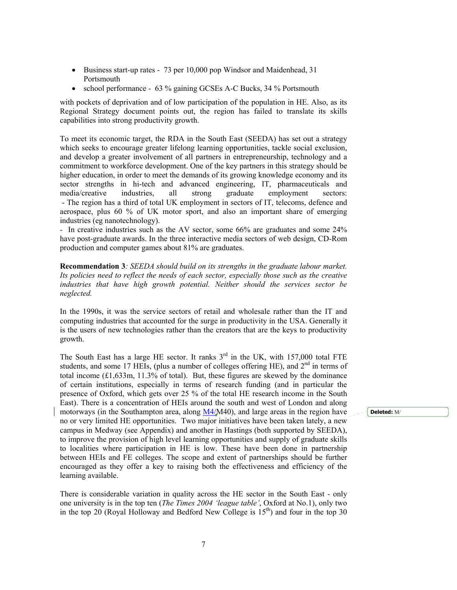- Business start-up rates 73 per 10,000 pop Windsor and Maidenhead, 31 Portsmouth
- school performance 63 % gaining GCSEs A-C Bucks, 34 % Portsmouth

with pockets of deprivation and of low participation of the population in HE. Also, as its Regional Strategy document points out, the region has failed to translate its skills capabilities into strong productivity growth.

To meet its economic target, the RDA in the South East (SEEDA) has set out a strategy which seeks to encourage greater lifelong learning opportunities, tackle social exclusion, and develop a greater involvement of all partners in entrepreneurship, technology and a commitment to workforce development. One of the key partners in this strategy should be higher education, in order to meet the demands of its growing knowledge economy and its sector strengths in hi-tech and advanced engineering, IT, pharmaceuticals and media/creative industries, all strong graduate employment sectors: - The region has a third of total UK employment in sectors of IT, telecoms, defence and aerospace, plus 60 % of UK motor sport, and also an important share of emerging industries (eg nanotechnology).

- In creative industries such as the AV sector, some 66% are graduates and some 24% have post-graduate awards. In the three interactive media sectors of web design, CD-Rom production and computer games about 81% are graduates.

**Recommendation 3***: SEEDA should build on its strengths in the graduate labour market. Its policies need to reflect the needs of each sector, especially those such as the creative industries that have high growth potential. Neither should the services sector be neglected.* 

In the 1990s, it was the service sectors of retail and wholesale rather than the IT and computing industries that accounted for the surge in productivity in the USA. Generally it is the users of new technologies rather than the creators that are the keys to productivity growth.

The South East has a large HE sector. It ranks  $3<sup>rd</sup>$  in the UK, with 157,000 total FTE students, and some 17 HEIs, (plus a number of colleges offering HE), and  $2<sup>nd</sup>$  in terms of total income (£1,633m, 11.3% of total). But, these figures are skewed by the dominance of certain institutions, especially in terms of research funding (and in particular the presence of Oxford, which gets over 25 % of the total HE research income in the South East). There is a concentration of HEIs around the south and west of London and along motorways (in the Southampton area, along M4/M40), and large areas in the region have no or very limited HE opportunities. Two major initiatives have been taken lately, a new campus in Medway (see Appendix) and another in Hastings (both supported by SEEDA), to improve the provision of high level learning opportunities and supply of graduate skills to localities where participation in HE is low. These have been done in partnership between HEIs and FE colleges. The scope and extent of partnerships should be further encouraged as they offer a key to raising both the effectiveness and efficiency of the learning available.

There is considerable variation in quality across the HE sector in the South East - only one university is in the top ten (*The Times 2004 'league table'*, Oxford at No.1), only two in the top 20 (Royal Holloway and Bedford New College is  $15<sup>th</sup>$ ) and four in the top 30

**Deleted:** M/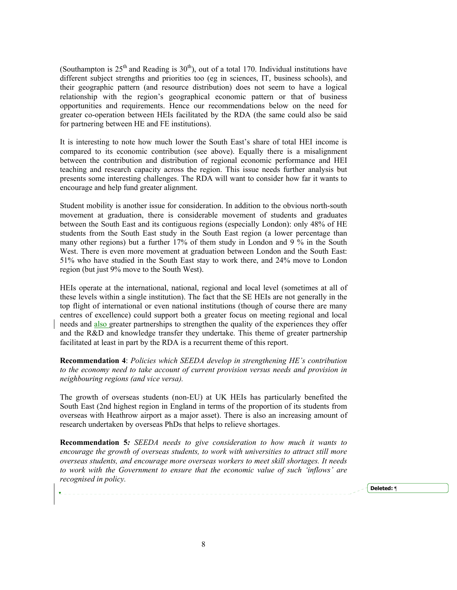(Southampton is  $25<sup>th</sup>$  and Reading is  $30<sup>th</sup>$ ), out of a total 170. Individual institutions have different subject strengths and priorities too (eg in sciences, IT, business schools), and their geographic pattern (and resource distribution) does not seem to have a logical relationship with the region's geographical economic pattern or that of business opportunities and requirements. Hence our recommendations below on the need for greater co-operation between HEIs facilitated by the RDA (the same could also be said for partnering between HE and FE institutions).

It is interesting to note how much lower the South East's share of total HEI income is compared to its economic contribution (see above). Equally there is a misalignment between the contribution and distribution of regional economic performance and HEI teaching and research capacity across the region. This issue needs further analysis but presents some interesting challenges. The RDA will want to consider how far it wants to encourage and help fund greater alignment.

Student mobility is another issue for consideration. In addition to the obvious north-south movement at graduation, there is considerable movement of students and graduates between the South East and its contiguous regions (especially London): only 48% of HE students from the South East study in the South East region (a lower percentage than many other regions) but a further 17% of them study in London and 9 % in the South West. There is even more movement at graduation between London and the South East: 51% who have studied in the South East stay to work there, and 24% move to London region (but just 9% move to the South West).

HEIs operate at the international, national, regional and local level (sometimes at all of these levels within a single institution). The fact that the SE HEIs are not generally in the top flight of international or even national institutions (though of course there are many centres of excellence) could support both a greater focus on meeting regional and local needs and also greater partnerships to strengthen the quality of the experiences they offer and the R&D and knowledge transfer they undertake. This theme of greater partnership facilitated at least in part by the RDA is a recurrent theme of this report.

**Recommendation 4**: *Policies which SEEDA develop in strengthening HE's contribution to the economy need to take account of current provision versus needs and provision in neighbouring regions (and vice versa).* 

The growth of overseas students (non-EU) at UK HEIs has particularly benefited the South East (2nd highest region in England in terms of the proportion of its students from overseas with Heathrow airport as a major asset). There is also an increasing amount of research undertaken by overseas PhDs that helps to relieve shortages.

**Recommendation 5***: SEEDA needs to give consideration to how much it wants to encourage the growth of overseas students, to work with universities to attract still more overseas students, and encourage more overseas workers to meet skill shortages. It needs to work with the Government to ensure that the economic value of such 'inflows' are recognised in policy.* 

**Deleted:** ¶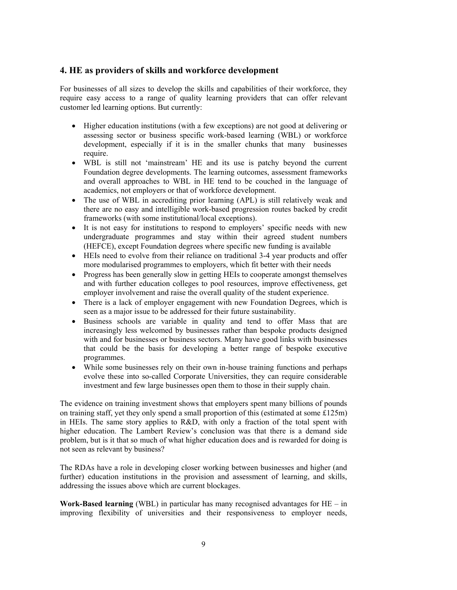## **4. HE as providers of skills and workforce development**

For businesses of all sizes to develop the skills and capabilities of their workforce, they require easy access to a range of quality learning providers that can offer relevant customer led learning options. But currently:

- Higher education institutions (with a few exceptions) are not good at delivering or assessing sector or business specific work-based learning (WBL) or workforce development, especially if it is in the smaller chunks that many businesses require.
- WBL is still not 'mainstream' HE and its use is patchy beyond the current Foundation degree developments. The learning outcomes, assessment frameworks and overall approaches to WBL in HE tend to be couched in the language of academics, not employers or that of workforce development.
- The use of WBL in accrediting prior learning (APL) is still relatively weak and there are no easy and intelligible work-based progression routes backed by credit frameworks (with some institutional/local exceptions).
- It is not easy for institutions to respond to employers' specific needs with new undergraduate programmes and stay within their agreed student numbers (HEFCE), except Foundation degrees where specific new funding is available
- HEIs need to evolve from their reliance on traditional 3-4 year products and offer more modularised programmes to employers, which fit better with their needs
- Progress has been generally slow in getting HEIs to cooperate amongst themselves and with further education colleges to pool resources, improve effectiveness, get employer involvement and raise the overall quality of the student experience.
- There is a lack of employer engagement with new Foundation Degrees, which is seen as a major issue to be addressed for their future sustainability.
- Business schools are variable in quality and tend to offer Mass that are increasingly less welcomed by businesses rather than bespoke products designed with and for businesses or business sectors. Many have good links with businesses that could be the basis for developing a better range of bespoke executive programmes.
- While some businesses rely on their own in-house training functions and perhaps evolve these into so-called Corporate Universities, they can require considerable investment and few large businesses open them to those in their supply chain.

The evidence on training investment shows that employers spent many billions of pounds on training staff, yet they only spend a small proportion of this (estimated at some £125m) in HEIs. The same story applies to R&D, with only a fraction of the total spent with higher education. The Lambert Review's conclusion was that there is a demand side problem, but is it that so much of what higher education does and is rewarded for doing is not seen as relevant by business?

The RDAs have a role in developing closer working between businesses and higher (and further) education institutions in the provision and assessment of learning, and skills, addressing the issues above which are current blockages.

**Work-Based learning** (WBL) in particular has many recognised advantages for HE – in improving flexibility of universities and their responsiveness to employer needs,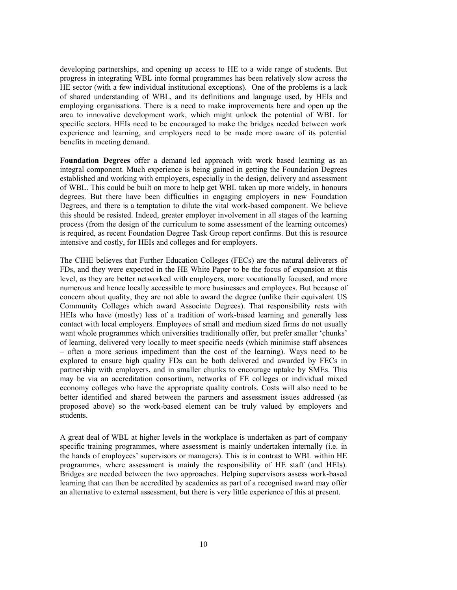developing partnerships, and opening up access to HE to a wide range of students. But progress in integrating WBL into formal programmes has been relatively slow across the HE sector (with a few individual institutional exceptions). One of the problems is a lack of shared understanding of WBL, and its definitions and language used, by HEIs and employing organisations. There is a need to make improvements here and open up the area to innovative development work, which might unlock the potential of WBL for specific sectors. HEIs need to be encouraged to make the bridges needed between work experience and learning, and employers need to be made more aware of its potential benefits in meeting demand.

**Foundation Degrees** offer a demand led approach with work based learning as an integral component. Much experience is being gained in getting the Foundation Degrees established and working with employers, especially in the design, delivery and assessment of WBL. This could be built on more to help get WBL taken up more widely, in honours degrees. But there have been difficulties in engaging employers in new Foundation Degrees, and there is a temptation to dilute the vital work-based component. We believe this should be resisted. Indeed, greater employer involvement in all stages of the learning process (from the design of the curriculum to some assessment of the learning outcomes) is required, as recent Foundation Degree Task Group report confirms. But this is resource intensive and costly, for HEIs and colleges and for employers.

The CIHE believes that Further Education Colleges (FECs) are the natural deliverers of FDs, and they were expected in the HE White Paper to be the focus of expansion at this level, as they are better networked with employers, more vocationally focused, and more numerous and hence locally accessible to more businesses and employees. But because of concern about quality, they are not able to award the degree (unlike their equivalent US Community Colleges which award Associate Degrees). That responsibility rests with HEIs who have (mostly) less of a tradition of work-based learning and generally less contact with local employers. Employees of small and medium sized firms do not usually want whole programmes which universities traditionally offer, but prefer smaller 'chunks' of learning, delivered very locally to meet specific needs (which minimise staff absences – often a more serious impediment than the cost of the learning). Ways need to be explored to ensure high quality FDs can be both delivered and awarded by FECs in partnership with employers, and in smaller chunks to encourage uptake by SMEs. This may be via an accreditation consortium, networks of FE colleges or individual mixed economy colleges who have the appropriate quality controls. Costs will also need to be better identified and shared between the partners and assessment issues addressed (as proposed above) so the work-based element can be truly valued by employers and students.

A great deal of WBL at higher levels in the workplace is undertaken as part of company specific training programmes, where assessment is mainly undertaken internally (i.e. in the hands of employees' supervisors or managers). This is in contrast to WBL within HE programmes, where assessment is mainly the responsibility of HE staff (and HEIs). Bridges are needed between the two approaches. Helping supervisors assess work-based learning that can then be accredited by academics as part of a recognised award may offer an alternative to external assessment, but there is very little experience of this at present.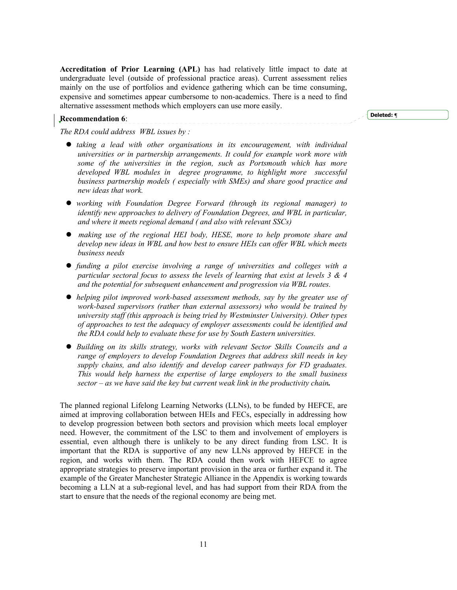**Accreditation of Prior Learning (APL)** has had relatively little impact to date at undergraduate level (outside of professional practice areas). Current assessment relies mainly on the use of portfolios and evidence gathering which can be time consuming, expensive and sometimes appear cumbersome to non-academics. There is a need to find alternative assessment methods which employers can use more easily.

#### **Recommendation 6**:

**Deleted: ¶**

*The RDA could address WBL issues by :* 

- *taking a lead with other organisations in its encouragement, with individual universities or in partnership arrangements. It could for example work more with some of the universities in the region, such as Portsmouth which has more developed WBL modules in degree programme, to highlight more successful business partnership models ( especially with SMEs) and share good practice and new ideas that work.*
- working with Foundation Degree Forward (through its regional manager) to *identify new approaches to delivery of Foundation Degrees, and WBL in particular, and where it meets regional demand ( and also with relevant SSCs)*
- z *making use of the regional HEI body, HESE, more to help promote share and develop new ideas in WBL and how best to ensure HEIs can offer WBL which meets business needs*
- z *funding a pilot exercise involving a range of universities and colleges with a particular sectoral focus to assess the levels of learning that exist at levels 3 & 4 and the potential for subsequent enhancement and progression via WBL routes.*
- *helping pilot improved work-based assessment methods, say by the greater use of work-based supervisors (rather than external assessors) who would be trained by university staff (this approach is being tried by Westminster University). Other types of approaches to test the adequacy of employer assessments could be identified and the RDA could help to evaluate these for use by South Eastern universities.*
- z *Building on its skills strategy, works with relevant Sector Skills Councils and a range of employers to develop Foundation Degrees that address skill needs in key supply chains, and also identify and develop career pathways for FD graduates. This would help harness the expertise of large employers to the small business sector – as we have said the key but current weak link in the productivity chain.*

The planned regional Lifelong Learning Networks (LLNs), to be funded by HEFCE, are aimed at improving collaboration between HEIs and FECs, especially in addressing how to develop progression between both sectors and provision which meets local employer need. However, the commitment of the LSC to them and involvement of employers is essential, even although there is unlikely to be any direct funding from LSC. It is important that the RDA is supportive of any new LLNs approved by HEFCE in the region, and works with them. The RDA could then work with HEFCE to agree appropriate strategies to preserve important provision in the area or further expand it. The example of the Greater Manchester Strategic Alliance in the Appendix is working towards becoming a LLN at a sub-regional level, and has had support from their RDA from the start to ensure that the needs of the regional economy are being met.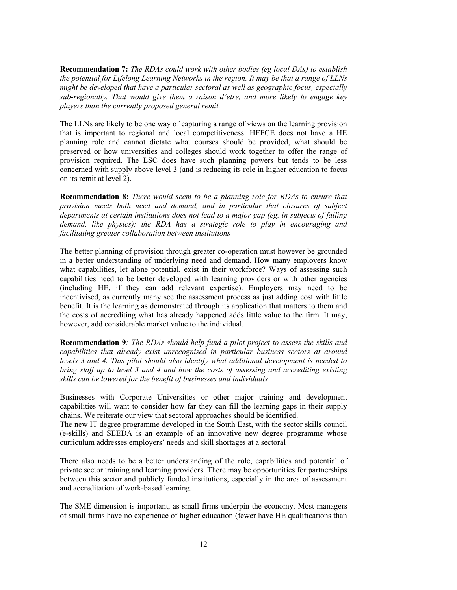**Recommendation 7:** *The RDAs could work with other bodies (eg local DAs) to establish the potential for Lifelong Learning Networks in the region. It may be that a range of LLNs might be developed that have a particular sectoral as well as geographic focus, especially sub-regionally. That would give them a raison d'etre, and more likely to engage key players than the currently proposed general remit.* 

The LLNs are likely to be one way of capturing a range of views on the learning provision that is important to regional and local competitiveness. HEFCE does not have a HE planning role and cannot dictate what courses should be provided, what should be preserved or how universities and colleges should work together to offer the range of provision required. The LSC does have such planning powers but tends to be less concerned with supply above level 3 (and is reducing its role in higher education to focus on its remit at level 2).

**Recommendation 8:** *There would seem to be a planning role for RDAs to ensure that provision meets both need and demand, and in particular that closures of subject departments at certain institutions does not lead to a major gap (eg. in subjects of falling demand, like physics); the RDA has a strategic role to play in encouraging and facilitating greater collaboration between institutions* 

The better planning of provision through greater co-operation must however be grounded in a better understanding of underlying need and demand. How many employers know what capabilities, let alone potential, exist in their workforce? Ways of assessing such capabilities need to be better developed with learning providers or with other agencies (including HE, if they can add relevant expertise). Employers may need to be incentivised, as currently many see the assessment process as just adding cost with little benefit. It is the learning as demonstrated through its application that matters to them and the costs of accrediting what has already happened adds little value to the firm. It may, however, add considerable market value to the individual.

**Recommendation 9***: The RDAs should help fund a pilot project to assess the skills and capabilities that already exist unrecognised in particular business sectors at around levels 3 and 4. This pilot should also identify what additional development is needed to bring staff up to level 3 and 4 and how the costs of assessing and accrediting existing skills can be lowered for the benefit of businesses and individuals* 

Businesses with Corporate Universities or other major training and development capabilities will want to consider how far they can fill the learning gaps in their supply chains. We reiterate our view that sectoral approaches should be identified.

The new IT degree programme developed in the South East, with the sector skills council (e-skills) and SEEDA is an example of an innovative new degree programme whose curriculum addresses employers' needs and skill shortages at a sectoral

There also needs to be a better understanding of the role, capabilities and potential of private sector training and learning providers. There may be opportunities for partnerships between this sector and publicly funded institutions, especially in the area of assessment and accreditation of work-based learning.

The SME dimension is important, as small firms underpin the economy. Most managers of small firms have no experience of higher education (fewer have HE qualifications than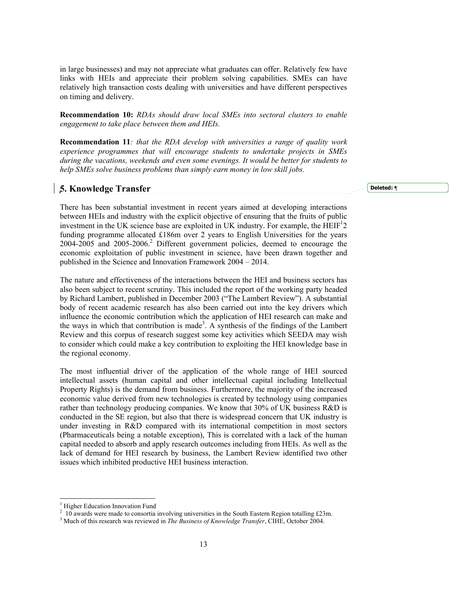in large businesses) and may not appreciate what graduates can offer. Relatively few have links with HEIs and appreciate their problem solving capabilities. SMEs can have relatively high transaction costs dealing with universities and have different perspectives on timing and delivery.

**Recommendation 10:** *RDAs should draw local SMEs into sectoral clusters to enable engagement to take place between them and HEIs.* 

**Recommendation 11***: that the RDA develop with universities a range of quality work experience programmes that will encourage students to undertake projects in SMEs during the vacations, weekends and even some evenings. It would be better for students to help SMEs solve business problems than simply earn money in low skill jobs.* 

## **5. Knowledge Transfer**

**Deleted: ¶**

There has been substantial investment in recent years aimed at developing interactions between HEIs and industry with the explicit objective of ensuring that the fruits of public investment in the UK science base are exploited in UK industry. For example, the  $HEIF<sup>1</sup>2$ funding programme allocated £186m over 2 years to English Universities for the years 2004-2005 and 2005-2006.<sup>2</sup> Different government policies, deemed to encourage the economic exploitation of public investment in science, have been drawn together and published in the Science and Innovation Framework 2004 – 2014.

The nature and effectiveness of the interactions between the HEI and business sectors has also been subject to recent scrutiny. This included the report of the working party headed by Richard Lambert, published in December 2003 ("The Lambert Review"). A substantial body of recent academic research has also been carried out into the key drivers which influence the economic contribution which the application of HEI research can make and the ways in which that contribution is made<sup>3</sup>. A synthesis of the findings of the Lambert Review and this corpus of research suggest some key activities which SEEDA may wish to consider which could make a key contribution to exploiting the HEI knowledge base in the regional economy.

The most influential driver of the application of the whole range of HEI sourced intellectual assets (human capital and other intellectual capital including Intellectual Property Rights) is the demand from business. Furthermore, the majority of the increased economic value derived from new technologies is created by technology using companies rather than technology producing companies. We know that 30% of UK business R&D is conducted in the SE region, but also that there is widespread concern that UK industry is under investing in R&D compared with its international competition in most sectors (Pharmaceuticals being a notable exception), This is correlated with a lack of the human capital needed to absorb and apply research outcomes including from HEIs. As well as the lack of demand for HEI research by business, the Lambert Review identified two other issues which inhibited productive HEI business interaction.

l

<sup>&</sup>lt;sup>1</sup> Higher Education Innovation Fund

 $2\overline{10}$  awards were made to consortia involving universities in the South Eastern Region totalling £23m.

<sup>3</sup> Much of this research was reviewed in *The Business of Knowledge Transfer*, CIHE, October 2004.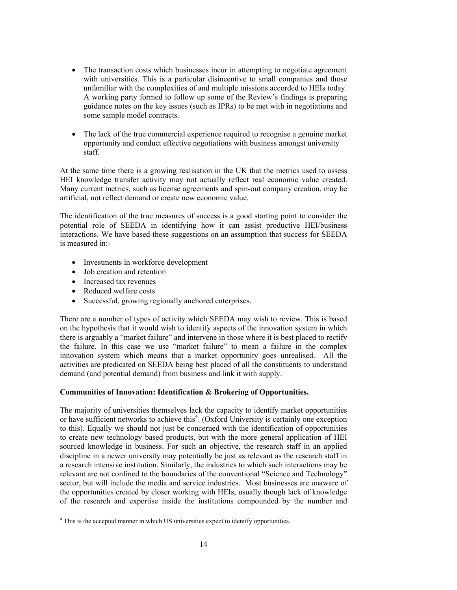- The transaction costs which businesses incur in attempting to negotiate agreement with universities. This is a particular disincentive to small companies and those unfamiliar with the complexities of and multiple missions accorded to HEIs today. A working party formed to follow up some of the Review's findings is preparing guidance notes on the key issues (such as IPRs) to be met with in negotiations and some sample model contracts.
- The lack of the true commercial experience required to recognise a genuine market opportunity and conduct effective negotiations with business amongst university staff.

At the same time there is a growing realisation in the UK that the metrics used to assess HEI knowledge transfer activity may not actually reflect real economic value created. Many current metrics, such as license agreements and spin-out company creation, may be artificial, not reflect demand or create new economic value.

The identification of the true measures of success is a good starting point to consider the potential role of SEEDA in identifying how it can assist productive HEI/business interactions. We have based these suggestions on an assumption that success for SEEDA is measured in:-

- Investments in workforce development
- Job creation and retention
- Increased tax revenues
- Reduced welfare costs
- Successful, growing regionally anchored enterprises.

There are a number of types of activity which SEEDA may wish to review. This is based on the hypothesis that it would wish to identify aspects of the innovation system in which there is arguably a "market failure" and intervene in those where it is best placed to rectify the failure. In this case we use "market failure" to mean a failure in the complex innovation system which means that a market opportunity goes unrealised. All the activities are predicated on SEEDA being best placed of all the constituents to understand demand (and potential demand) from business and link it with supply.

## **Communities of Innovation: Identification & Brokering of Opportunities.**

The majority of universities themselves lack the capacity to identify market opportunities or have sufficient networks to achieve this<sup>4</sup>. (Oxford University is certainly one exception to this). Equally we should not just be concerned with the identification of opportunities to create new technology based products, but with the more general application of HEI sourced knowledge in business. For such an objective, the research staff in an applied discipline in a newer university may potentially be just as relevant as the research staff in a research intensive institution. Similarly, the industries to which such interactions may be relevant are not confined to the boundaries of the conventional "Science and Technology" sector, but will include the media and service industries. Most businesses are unaware of the opportunities created by closer working with HEIs, usually though lack of knowledge of the research and expertise inside the institutions compounded by the number and

 4 This is the accepted manner in which US universities expect to identify opportunities.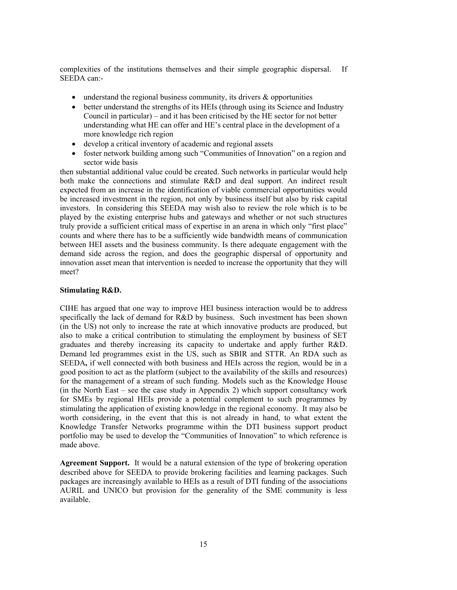complexities of the institutions themselves and their simple geographic dispersal. If SEEDA can:-

- understand the regional business community, its drivers & opportunities
- better understand the strengths of its HEIs (through using its Science and Industry Council in particular) – and it has been criticised by the HE sector for not better understanding what HE can offer and HE's central place in the development of a more knowledge rich region
- develop a critical inventory of academic and regional assets
- foster network building among such "Communities of Innovation" on a region and sector wide basis

then substantial additional value could be created. Such networks in particular would help both make the connections and stimulate R&D and deal support. An indirect result expected from an increase in the identification of viable commercial opportunities would be increased investment in the region, not only by business itself but also by risk capital investors. In considering this SEEDA may wish also to review the role which is to be played by the existing enterprise hubs and gateways and whether or not such structures truly provide a sufficient critical mass of expertise in an arena in which only "first place" counts and where there has to be a sufficiently wide bandwidth means of communication between HEI assets and the business community. Is there adequate engagement with the demand side across the region, and does the geographic dispersal of opportunity and innovation asset mean that intervention is needed to increase the opportunity that they will meet?

#### **Stimulating R&D.**

CIHE has argued that one way to improve HEI business interaction would be to address specifically the lack of demand for R&D by business. Such investment has been shown (in the US) not only to increase the rate at which innovative products are produced, but also to make a critical contribution to stimulating the employment by business of SET graduates and thereby increasing its capacity to undertake and apply further R&D. Demand led programmes exist in the US, such as SBIR and STTR. An RDA such as SEEDA**,** if well connected with both business and HEIs across the region, would be in a good position to act as the platform (subject to the availability of the skills and resources) for the management of a stream of such funding. Models such as the Knowledge House (in the North East – see the case study in Appendix 2) which support consultancy work for SMEs by regional HEIs provide a potential complement to such programmes by stimulating the application of existing knowledge in the regional economy. It may also be worth considering, in the event that this is not already in hand, to what extent the Knowledge Transfer Networks programme within the DTI business support product portfolio may be used to develop the "Communities of Innovation" to which reference is made above.

**Agreement Support.** It would be a natural extension of the type of brokering operation described above for SEEDA to provide brokering facilities and learning packages. Such packages are increasingly available to HEIs as a result of DTI funding of the associations AURIL and UNICO but provision for the generality of the SME community is less available.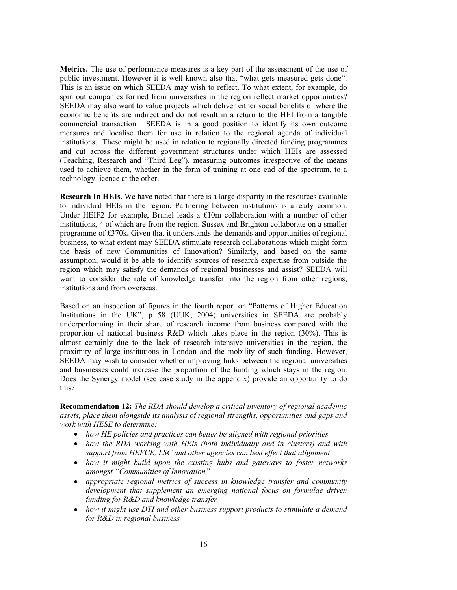**Metrics.** The use of performance measures is a key part of the assessment of the use of public investment. However it is well known also that "what gets measured gets done". This is an issue on which SEEDA may wish to reflect. To what extent, for example, do spin out companies formed from universities in the region reflect market opportunities? SEEDA may also want to value projects which deliver either social benefits of where the economic benefits are indirect and do not result in a return to the HEI from a tangible commercial transaction. SEEDA is in a good position to identify its own outcome measures and localise them for use in relation to the regional agenda of individual institutions. These might be used in relation to regionally directed funding programmes and cut across the different government structures under which HEIs are assessed (Teaching, Research and "Third Leg"), measuring outcomes irrespective of the means used to achieve them, whether in the form of training at one end of the spectrum, to a technology licence at the other.

**Research In HEIs.** We have noted that there is a large disparity in the resources available to individual HEIs in the region. Partnering between institutions is already common. Under HEIF2 for example, Brunel leads a £10m collaboration with a number of other institutions, 4 of which are from the region. Sussex and Brighton collaborate on a smaller programme of £370k**.** Given that it understands the demands and opportunities of regional business, to what extent may SEEDA stimulate research collaborations which might form the basis of new Communities of Innovation? Similarly, and based on the same assumption, would it be able to identify sources of research expertise from outside the region which may satisfy the demands of regional businesses and assist? SEEDA will want to consider the role of knowledge transfer into the region from other regions, institutions and from overseas.

Based on an inspection of figures in the fourth report on "Patterns of Higher Education Institutions in the UK", p 58 (UUK, 2004) universities in SEEDA are probably underperforming in their share of research income from business compared with the proportion of national business R&D which takes place in the region (30%). This is almost certainly due to the lack of research intensive universities in the region, the proximity of large institutions in London and the mobility of such funding. However, SEEDA may wish to consider whether improving links between the regional universities and businesses could increase the proportion of the funding which stays in the region. Does the Synergy model (see case study in the appendix) provide an opportunity to do this?

**Recommendation 12:** *The RDA should develop a critical inventory of regional academic assets, place them alongside its analysis of regional strengths, opportunities and gaps and work with HESE to determine:* 

- *how HE policies and practices can better be aligned with regional priorities*
- *how the RDA working with HEIs (both individually and in clusters) and with support from HEFCE, LSC and other agencies can best effect that alignment*
- *how it might build upon the existing hubs and gateways to foster networks amongst "Communities of Innovation"*
- *appropriate regional metrics of success in knowledge transfer and community development that supplement an emerging national focus on formulae driven funding for R&D and knowledge transfer*
- *how it might use DTI and other business support products to stimulate a demand for R&D in regional business*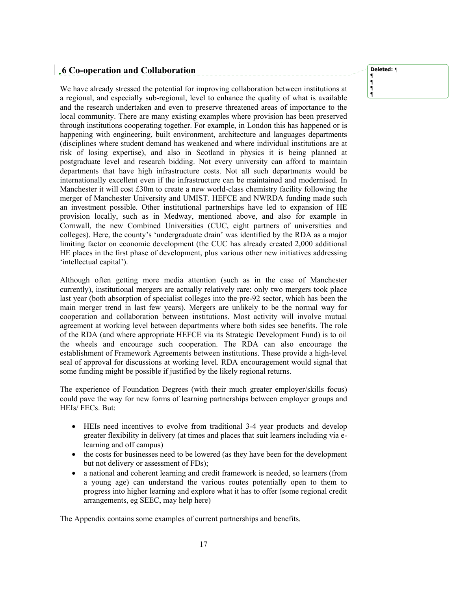# **6 Co-operation and Collaboration**

We have already stressed the potential for improving collaboration between institutions at a regional, and especially sub-regional, level to enhance the quality of what is available and the research undertaken and even to preserve threatened areas of importance to the local community. There are many existing examples where provision has been preserved through institutions cooperating together. For example, in London this has happened or is happening with engineering, built environment, architecture and languages departments (disciplines where student demand has weakened and where individual institutions are at risk of losing expertise), and also in Scotland in physics it is being planned at postgraduate level and research bidding. Not every university can afford to maintain departments that have high infrastructure costs. Not all such departments would be internationally excellent even if the infrastructure can be maintained and modernised. In Manchester it will cost £30m to create a new world-class chemistry facility following the merger of Manchester University and UMIST. HEFCE and NWRDA funding made such an investment possible. Other institutional partnerships have led to expansion of HE provision locally, such as in Medway, mentioned above, and also for example in Cornwall, the new Combined Universities (CUC, eight partners of universities and colleges). Here, the county's 'undergraduate drain' was identified by the RDA as a major limiting factor on economic development (the CUC has already created 2,000 additional HE places in the first phase of development, plus various other new initiatives addressing 'intellectual capital').

Although often getting more media attention (such as in the case of Manchester currently), institutional mergers are actually relatively rare: only two mergers took place last year (both absorption of specialist colleges into the pre-92 sector, which has been the main merger trend in last few years). Mergers are unlikely to be the normal way for cooperation and collaboration between institutions. Most activity will involve mutual agreement at working level between departments where both sides see benefits. The role of the RDA (and where appropriate HEFCE via its Strategic Development Fund) is to oil the wheels and encourage such cooperation. The RDA can also encourage the establishment of Framework Agreements between institutions. These provide a high-level seal of approval for discussions at working level. RDA encouragement would signal that some funding might be possible if justified by the likely regional returns.

The experience of Foundation Degrees (with their much greater employer/skills focus) could pave the way for new forms of learning partnerships between employer groups and HEIs/ FECs. But:

- HEIs need incentives to evolve from traditional 3-4 year products and develop greater flexibility in delivery (at times and places that suit learners including via elearning and off campus)
- the costs for businesses need to be lowered (as they have been for the development but not delivery or assessment of FDs);
- a national and coherent learning and credit framework is needed, so learners (from a young age) can understand the various routes potentially open to them to progress into higher learning and explore what it has to offer (some regional credit arrangements, eg SEEC, may help here)

The Appendix contains some examples of current partnerships and benefits.

**Deleted:** *¶*

**¶ ¶ ¶ ¶**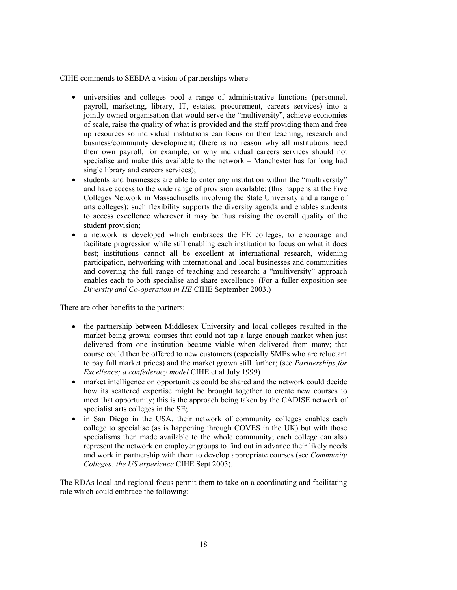CIHE commends to SEEDA a vision of partnerships where:

- universities and colleges pool a range of administrative functions (personnel, payroll, marketing, library, IT, estates, procurement, careers services) into a jointly owned organisation that would serve the "multiversity", achieve economies of scale, raise the quality of what is provided and the staff providing them and free up resources so individual institutions can focus on their teaching, research and business/community development; (there is no reason why all institutions need their own payroll, for example, or why individual careers services should not specialise and make this available to the network – Manchester has for long had single library and careers services);
- students and businesses are able to enter any institution within the "multiversity" and have access to the wide range of provision available; (this happens at the Five Colleges Network in Massachusetts involving the State University and a range of arts colleges); such flexibility supports the diversity agenda and enables students to access excellence wherever it may be thus raising the overall quality of the student provision;
- a network is developed which embraces the FE colleges, to encourage and facilitate progression while still enabling each institution to focus on what it does best; institutions cannot all be excellent at international research, widening participation, networking with international and local businesses and communities and covering the full range of teaching and research; a "multiversity" approach enables each to both specialise and share excellence. (For a fuller exposition see *Diversity and Co-operation in HE* CIHE September 2003.)

There are other benefits to the partners:

- the partnership between Middlesex University and local colleges resulted in the market being grown; courses that could not tap a large enough market when just delivered from one institution became viable when delivered from many; that course could then be offered to new customers (especially SMEs who are reluctant to pay full market prices) and the market grown still further; (see *Partnerships for Excellence; a confederacy model* CIHE et al July 1999)
- market intelligence on opportunities could be shared and the network could decide how its scattered expertise might be brought together to create new courses to meet that opportunity; this is the approach being taken by the CADISE network of specialist arts colleges in the SE;
- in San Diego in the USA, their network of community colleges enables each college to specialise (as is happening through COVES in the UK) but with those specialisms then made available to the whole community; each college can also represent the network on employer groups to find out in advance their likely needs and work in partnership with them to develop appropriate courses (see *Community Colleges: the US experience* CIHE Sept 2003).

The RDAs local and regional focus permit them to take on a coordinating and facilitating role which could embrace the following: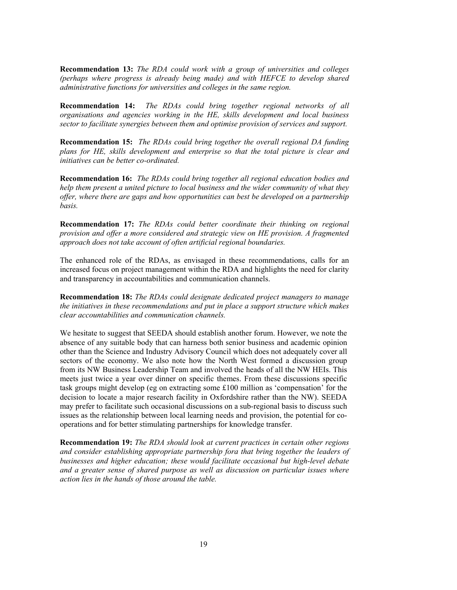**Recommendation 13:** *The RDA could work with a group of universities and colleges (perhaps where progress is already being made) and with HEFCE to develop shared administrative functions for universities and colleges in the same region.* 

**Recommendation 14:** *The RDAs could bring together regional networks of all organisations and agencies working in the HE, skills development and local business sector to facilitate synergies between them and optimise provision of services and support.* 

**Recommendation 15:** *The RDAs could bring together the overall regional DA funding plans for HE, skills development and enterprise so that the total picture is clear and initiatives can be better co-ordinated.* 

**Recommendation 16:** *The RDAs could bring together all regional education bodies and help them present a united picture to local business and the wider community of what they offer, where there are gaps and how opportunities can best be developed on a partnership basis.* 

**Recommendation 17:** *The RDAs could better coordinate their thinking on regional provision and offer a more considered and strategic view on HE provision. A fragmented approach does not take account of often artificial regional boundaries.* 

The enhanced role of the RDAs, as envisaged in these recommendations, calls for an increased focus on project management within the RDA and highlights the need for clarity and transparency in accountabilities and communication channels.

**Recommendation 18:** *The RDAs could designate dedicated project managers to manage the initiatives in these recommendations and put in place a support structure which makes clear accountabilities and communication channels.* 

We hesitate to suggest that SEEDA should establish another forum. However, we note the absence of any suitable body that can harness both senior business and academic opinion other than the Science and Industry Advisory Council which does not adequately cover all sectors of the economy. We also note how the North West formed a discussion group from its NW Business Leadership Team and involved the heads of all the NW HEIs. This meets just twice a year over dinner on specific themes. From these discussions specific task groups might develop (eg on extracting some £100 million as 'compensation' for the decision to locate a major research facility in Oxfordshire rather than the NW). SEEDA may prefer to facilitate such occasional discussions on a sub-regional basis to discuss such issues as the relationship between local learning needs and provision, the potential for cooperations and for better stimulating partnerships for knowledge transfer.

**Recommendation 19:** *The RDA should look at current practices in certain other regions and consider establishing appropriate partnership fora that bring together the leaders of businesses and higher education; these would facilitate occasional but high-level debate and a greater sense of shared purpose as well as discussion on particular issues where action lies in the hands of those around the table.*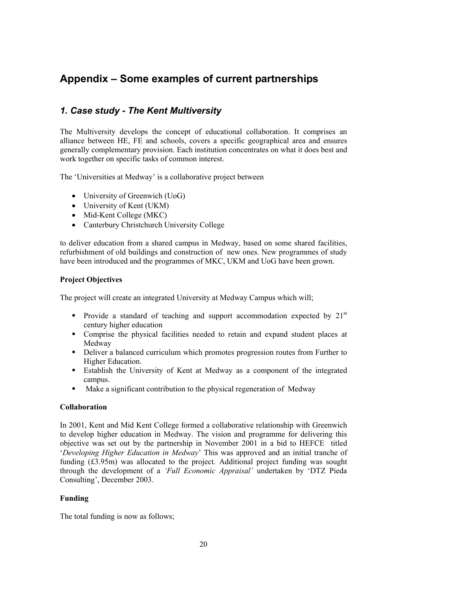# **Appendix – Some examples of current partnerships**

# *1. Case study - The Kent Multiversity*

The Multiversity develops the concept of educational collaboration. It comprises an alliance between HE, FE and schools, covers a specific geographical area and ensures generally complementary provision. Each institution concentrates on what it does best and work together on specific tasks of common interest.

The 'Universities at Medway' is a collaborative project between

- University of Greenwich (UoG)
- University of Kent (UKM)
- Mid-Kent College (MKC)
- Canterbury Christchurch University College

to deliver education from a shared campus in Medway, based on some shared facilities, refurbishment of old buildings and construction of new ones. New programmes of study have been introduced and the programmes of MKC, UKM and UoG have been grown.

## **Project Objectives**

The project will create an integrated University at Medway Campus which will;

- Provide a standard of teaching and support accommodation expected by  $21<sup>st</sup>$ century higher education
- Comprise the physical facilities needed to retain and expand student places at Medway
- Deliver a balanced curriculum which promotes progression routes from Further to Higher Education.
- Establish the University of Kent at Medway as a component of the integrated campus.
- Make a significant contribution to the physical regeneration of Medway

### **Collaboration**

In 2001, Kent and Mid Kent College formed a collaborative relationship with Greenwich to develop higher education in Medway. The vision and programme for delivering this objective was set out by the partnership in November 2001 in a bid to HEFCE titled '*Developing Higher Education in Medway*' This was approved and an initial tranche of funding (£3.95m) was allocated to the project. Additional project funding was sought through the development of a *'Full Economic Appraisal'* undertaken by 'DTZ Pieda Consulting', December 2003.

## **Funding**

The total funding is now as follows;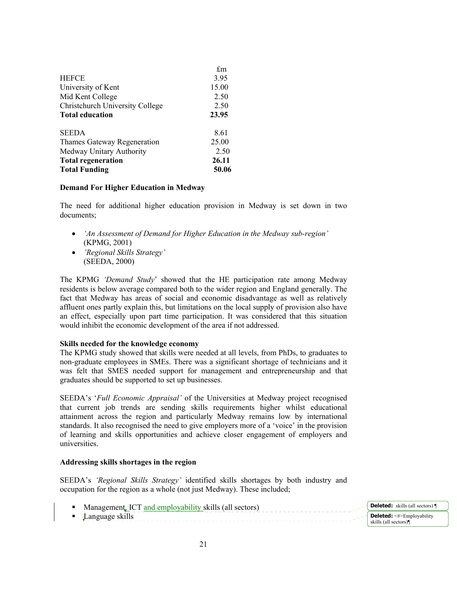|                                        | £m    |
|----------------------------------------|-------|
| <b>HEFCE</b>                           | 3.95  |
| University of Kent                     | 15.00 |
| Mid Kent College                       | 2.50  |
| <b>Christchurch University College</b> | 2.50  |
| <b>Total education</b>                 | 23.95 |
| <b>SEEDA</b>                           | 8.61  |
| Thames Gateway Regeneration            | 25.00 |
| Medway Unitary Authority               | 2.50  |
| <b>Total regeneration</b>              | 26.11 |
| <b>Total Funding</b>                   | 50.06 |

### **Demand For Higher Education in Medway**

The need for additional higher education provision in Medway is set down in two documents;

- *'An Assessment of Demand for Higher Education in the Medway sub-region'* (KPMG, 2001)
- *'Regional Skills Strategy'* (SEEDA, 2000)

The KPMG *'Demand Study*' showed that the HE participation rate among Medway residents is below average compared both to the wider region and England generally. The fact that Medway has areas of social and economic disadvantage as well as relatively affluent ones partly explain this, but limitations on the local supply of provision also have an effect, especially upon part time participation. It was considered that this situation would inhibit the economic development of the area if not addressed.

### **Skills needed for the knowledge economy**

The KPMG study showed that skills were needed at all levels, from PhDs, to graduates to non-graduate employees in SMEs. There was a significant shortage of technicians and it was felt that SMES needed support for management and entrepreneurship and that graduates should be supported to set up businesses.

SEEDA's '*Full Economic Appraisal'* of the Universities at Medway project recognised that current job trends are sending skills requirements higher whilst educational attainment across the region and particularly Medway remains low by international standards. It also recognised the need to give employers more of a 'voice' in the provision of learning and skills opportunities and achieve closer engagement of employers and universities.

### **Addressing skills shortages in the region**

SEEDA's *'Regional Skills Strategy'* identified skills shortages by both industry and occupation for the region as a whole (not just Medway). These included;

- Management<sub>r</sub> ICT and employability skills (all sectors)
- Language skills **Deleted:** <#>Employability skills (all sectors)¶

**Deleted:** skills (all sectors) ¶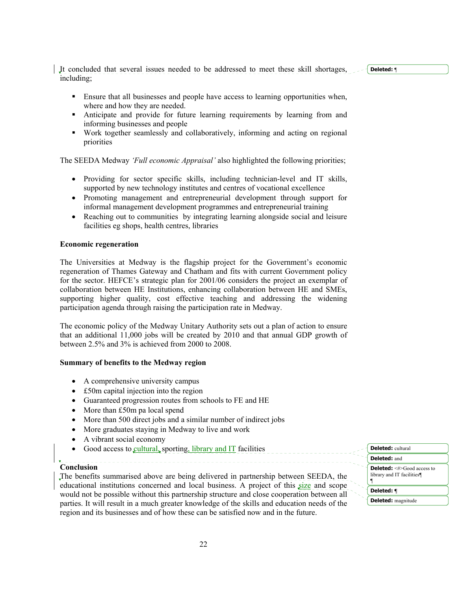It concluded that several issues needed to be addressed to meet these skill shortages, including;

- Ensure that all businesses and people have access to learning opportunities when, where and how they are needed.
- Anticipate and provide for future learning requirements by learning from and informing businesses and people
- Work together seamlessly and collaboratively, informing and acting on regional priorities

The SEEDA Medway *'Full economic Appraisal'* also highlighted the following priorities;

- Providing for sector specific skills, including technician-level and IT skills, supported by new technology institutes and centres of vocational excellence
- Promoting management and entrepreneurial development through support for informal management development programmes and entrepreneurial training
- Reaching out to communities by integrating learning alongside social and leisure facilities eg shops, health centres, libraries

### **Economic regeneration**

The Universities at Medway is the flagship project for the Government's economic regeneration of Thames Gateway and Chatham and fits with current Government policy for the sector. HEFCE's strategic plan for 2001/06 considers the project an exemplar of collaboration between HE Institutions, enhancing collaboration between HE and SMEs, supporting higher quality, cost effective teaching and addressing the widening participation agenda through raising the participation rate in Medway.

The economic policy of the Medway Unitary Authority sets out a plan of action to ensure that an additional 11,000 jobs will be created by 2010 and that annual GDP growth of between 2.5% and 3% is achieved from 2000 to 2008.

### **Summary of benefits to the Medway region**

- A comprehensive university campus
- £50m capital injection into the region
- Guaranteed progression routes from schools to FE and HE
- More than £50m pa local spend
- More than 500 direct jobs and a similar number of indirect jobs
- More graduates staying in Medway to live and work
- A vibrant social economy
- Good access to cultural, sporting, library and IT facilities

#### **Conclusion**

The benefits summarised above are being delivered in partnership between SEEDA, the educational institutions concerned and local business. A project of this size and scope would not be possible without this partnership structure and close cooperation between all parties. It will result in a much greater knowledge of the skills and education needs of the region and its businesses and of how these can be satisfied now and in the future.

**Deleted:** cultural **Deleted:** and **Deleted:** <#>Good access to library and IT facilities¶ ¶ **Deleted: ¶ Deleted:** magnitude

## **Deleted:** ¶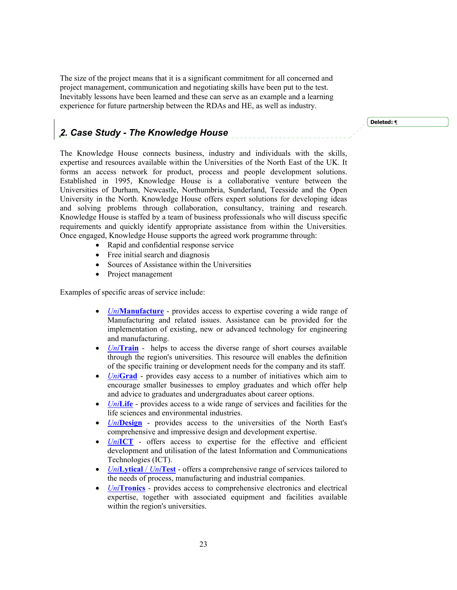The size of the project means that it is a significant commitment for all concerned and project management, communication and negotiating skills have been put to the test. Inevitably lessons have been learned and these can serve as an example and a learning experience for future partnership between the RDAs and HE, as well as industry.

# *2. Case Study - The Knowledge House*

The Knowledge House connects business, industry and individuals with the skills, expertise and resources available within the Universities of the North East of the UK. It forms an access network for product, process and people development solutions. Established in 1995, Knowledge House is a collaborative venture between the Universities of Durham, Newcastle, Northumbria, Sunderland, Teesside and the Open University in the North. Knowledge House offers expert solutions for developing ideas and solving problems through collaboration, consultancy, training and research. Knowledge House is staffed by a team of business professionals who will discuss specific requirements and quickly identify appropriate assistance from within the Universities. Once engaged, Knowledge House supports the agreed work programme through:

- Rapid and confidential response service
- Free initial search and diagnosis
- Sources of Assistance within the Universities
- Project management

Examples of specific areas of service include:

- *Uni***Manufacture** provides access to expertise covering a wide range of Manufacturing and related issues. Assistance can be provided for the implementation of existing, new or advanced technology for engineering and manufacturing.
- *Uni***Train** helps to access the diverse range of short courses available through the region's universities. This resource will enables the definition of the specific training or development needs for the company and its staff.
- *Uni***Grad** provides easy access to a number of initiatives which aim to encourage smaller businesses to employ graduates and which offer help and advice to graduates and undergraduates about career options.
- *Uni*Life provides access to a wide range of services and facilities for the life sciences and environmental industries.
- *Uni***Design** provides access to the universities of the North East's comprehensive and impressive design and development expertise.
- *Uni***ICT** offers access to expertise for the effective and efficient development and utilisation of the latest Information and Communications Technologies (ICT).
- *Uni***Lytical** / *Uni***Test** offers a comprehensive range of services tailored to the needs of process, manufacturing and industrial companies.
- *Uni***Tronics** provides access to comprehensive electronics and electrical expertise, together with associated equipment and facilities available within the region's universities.

**Deleted: ¶**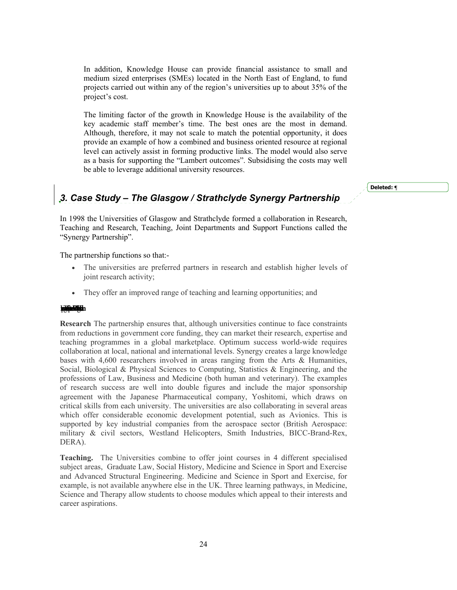In addition, Knowledge House can provide financial assistance to small and medium sized enterprises (SMEs) located in the North East of England, to fund projects carried out within any of the region's universities up to about 35% of the project's cost.

The limiting factor of the growth in Knowledge House is the availability of the key academic staff member's time. The best ones are the most in demand. Although, therefore, it may not scale to match the potential opportunity, it does provide an example of how a combined and business oriented resource at regional level can actively assist in forming productive links. The model would also serve as a basis for supporting the "Lambert outcomes". Subsidising the costs may well be able to leverage additional university resources.

#### **Deleted: ¶**

# *3. Case Study – The Glasgow / Strathclyde Synergy Partnership*

In 1998 the Universities of Glasgow and Strathclyde formed a collaboration in Research, Teaching and Research, Teaching, Joint Departments and Support Functions called the "Synergy Partnership".

The partnership functions so that:-

- The universities are preferred partners in research and establish higher levels of joint research activity;
- They offer an improved range of teaching and learning opportunities; and

#### **Improvement**

**Research** The partnership ensures that, although universities continue to face constraints from reductions in government core funding, they can market their research, expertise and teaching programmes in a global marketplace. Optimum success world-wide requires collaboration at local, national and international levels. Synergy creates a large knowledge bases with 4,600 researchers involved in areas ranging from the Arts & Humanities, Social, Biological & Physical Sciences to Computing, Statistics & Engineering, and the professions of Law, Business and Medicine (both human and veterinary). The examples of research success are well into double figures and include the major sponsorship agreement with the Japanese Pharmaceutical company, Yoshitomi, which draws on critical skills from each university. The universities are also collaborating in several areas which offer considerable economic development potential, such as Avionics. This is supported by key industrial companies from the aerospace sector (British Aerospace: military & civil sectors, Westland Helicopters, Smith Industries, BICC-Brand-Rex, DERA).

**Teaching.** The Universities combine to offer joint courses in 4 different specialised subject areas, Graduate Law, Social History, Medicine and Science in Sport and Exercise and Advanced Structural Engineering. Medicine and Science in Sport and Exercise, for example, is not available anywhere else in the UK. Three learning pathways, in Medicine, Science and Therapy allow students to choose modules which appeal to their interests and career aspirations.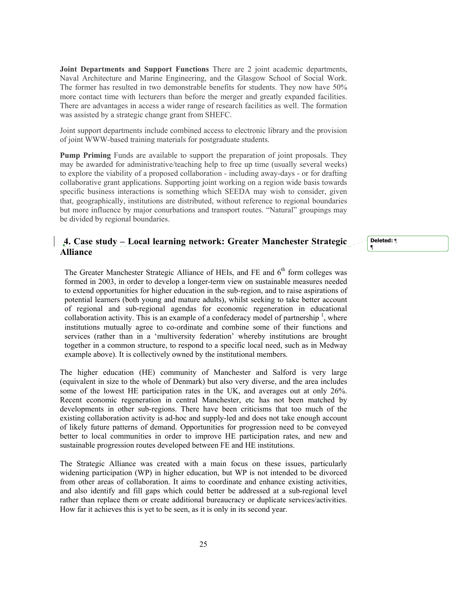**Joint Departments and Support Functions** There are 2 joint academic departments, Naval Architecture and Marine Engineering, and the Glasgow School of Social Work. The former has resulted in two demonstrable benefits for students. They now have 50% more contact time with lecturers than before the merger and greatly expanded facilities. There are advantages in access a wider range of research facilities as well. The formation was assisted by a strategic change grant from SHEFC.

Joint support departments include combined access to electronic library and the provision of joint WWW-based training materials for postgraduate students.

**Pump Priming** Funds are available to support the preparation of joint proposals. They may be awarded for administrative/teaching help to free up time (usually several weeks) to explore the viability of a proposed collaboration - including away-days - or for drafting collaborative grant applications. Supporting joint working on a region wide basis towards specific business interactions is something which SEEDA may wish to consider, given that, geographically, institutions are distributed, without reference to regional boundaries but more influence by major conurbations and transport routes. "Natural" groupings may be divided by regional boundaries.

## **4. Case study – Local learning network: Greater Manchester Strategic Alliance**

**Deleted:** ¶ **¶**

The Greater Manchester Strategic Alliance of HEIs, and FE and  $6<sup>th</sup>$  form colleges was formed in 2003, in order to develop a longer-term view on sustainable measures needed to extend opportunities for higher education in the sub-region, and to raise aspirations of potential learners (both young and mature adults), whilst seeking to take better account of regional and sub-regional agendas for economic regeneration in educational collaboration activity. This is an example of a confederacy model of partnership  $\frac{1}{2}$ , where institutions mutually agree to co-ordinate and combine some of their functions and services (rather than in a 'multiversity federation' whereby institutions are brought together in a common structure, to respond to a specific local need, such as in Medway example above). It is collectively owned by the institutional members.

The higher education (HE) community of Manchester and Salford is very large (equivalent in size to the whole of Denmark) but also very diverse, and the area includes some of the lowest HE participation rates in the UK, and averages out at only 26%. Recent economic regeneration in central Manchester, etc has not been matched by developments in other sub-regions. There have been criticisms that too much of the existing collaboration activity is ad-hoc and supply-led and does not take enough account of likely future patterns of demand. Opportunities for progression need to be conveyed better to local communities in order to improve HE participation rates, and new and sustainable progression routes developed between FE and HE institutions.

The Strategic Alliance was created with a main focus on these issues, particularly widening participation (WP) in higher education, but WP is not intended to be divorced from other areas of collaboration. It aims to coordinate and enhance existing activities, and also identify and fill gaps which could better be addressed at a sub-regional level rather than replace them or create additional bureaucracy or duplicate services/activities. How far it achieves this is yet to be seen, as it is only in its second year.